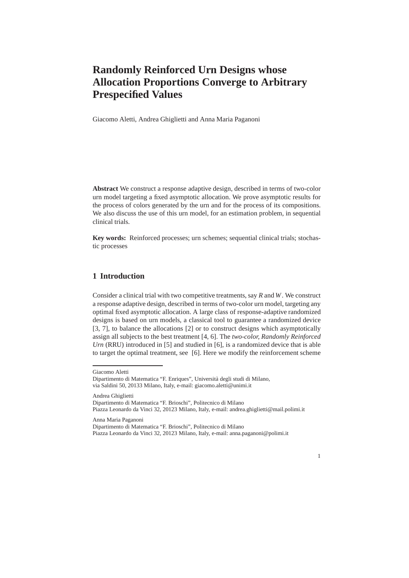## **Randomly Reinforced Urn Designs whose Allocation Proportions Converge to Arbitrary Prespecified Values**

Giacomo Aletti, Andrea Ghiglietti and Anna Maria Paganoni

**Abstract** We construct a response adaptive design, described in terms of two-color urn model targeting a fixed asymptotic allocation. We prove asymptotic results for the process of colors generated by the urn and for the process of its compositions. We also discuss the use of this urn model, for an estimation problem, in sequential clinical trials.

**Key words:** Reinforced processes; urn schemes; sequential clinical trials; stochastic processes

## **1 Introduction**

Consider a clinical trial with two competitive treatments, say *R* and *W*. We construct a response adaptive design, described in terms of two-color urn model, targeting any optimal fixed asymptotic allocation. A large class of response-adaptive randomized designs is based on urn models, a classical tool to guarantee a randomized device [3, 7], to balance the allocations [2] or to construct designs which asymptotically assign all subjects to the best treatment [4, 6]. The *two-color, Randomly Reinforced Urn* (RRU) introduced in [5] and studied in [6], is a randomized device that is able to target the optimal treatment, see [6]. Here we modify the reinforcement scheme

Andrea Ghiglietti Dipartimento di Matematica "F. Brioschi", Politecnico di Milano Piazza Leonardo da Vinci 32, 20123 Milano, Italy, e-mail: andrea.ghiglietti@mail.polimi.it

Anna Maria Paganoni Dipartimento di Matematica "F. Brioschi", Politecnico di Milano Piazza Leonardo da Vinci 32, 20123 Milano, Italy, e-mail: anna.paganoni@polimi.it

1

Giacomo Aletti

Dipartimento di Matematica "F. Enriques", Università degli studi di Milano, via Saldini 50, 20133 Milano, Italy, e-mail: giacomo.aletti@unimi.it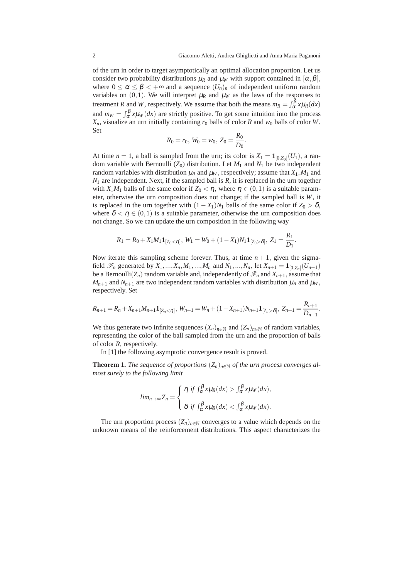of the urn in order to target asymptotically an optimal allocation proportion. Let us consider two probability distributions  $\mu_R$  and  $\mu_W$  with support contained in  $[\alpha, \beta]$ , where  $0 \le \alpha \le \beta \lt \infty$  and a sequence  $(U_n)_n$  of independent uniform random variables on  $(0,1)$ . We will interpret  $\mu_R$  and  $\mu_W$  as the laws of the responses to treatment *R* and *W*, respectively. We assume that both the means  $m_R = \int_{\alpha}^{\beta} x \mu_R(dx)$ and  $m_W = \int_{\alpha}^{\beta} x \mu_W(dx)$  are strictly positive. To get some intuition into the process  $X_n$ , visualize an urn initially containing  $r_0$  balls of color *R* and  $w_0$  balls of color *W*. Set

$$
R_0 = r_0, W_0 = w_0, Z_0 = \frac{R_0}{D_0}.
$$

At time  $n = 1$ , a ball is sampled from the urn; its color is  $X_1 = \mathbf{1}_{[0,Z_0]}(U_1)$ , a random variable with Bernoulli ( $Z_0$ ) distribution. Let  $M_1$  and  $N_1$  be two independent random variables with distribution  $\mu_R$  and  $\mu_W$ , respectively; assume that  $X_1, M_1$  and  $N_1$  are independent. Next, if the sampled ball is  $R$ , it is replaced in the urn together with  $X_1M_1$  balls of the same color if  $Z_0 < \eta$ , where  $\eta \in (0,1)$  is a suitable parameter, otherwise the urn composition does not change; if the sampled ball is *W*, it is replaced in the urn together with  $(1 - X_1)N_1$  balls of the same color if  $Z_0 > \delta$ , where  $\delta < \eta \in (0,1)$  is a suitable parameter, otherwise the urn composition does not change. So we can update the urn composition in the following way

$$
R_1 = R_0 + X_1 M_1 \mathbf{1}_{[Z_0 < \eta]}, \ W_1 = W_0 + (1 - X_1) N_1 \mathbf{1}_{[Z_0 > \delta]}, \ Z_1 = \frac{R_1}{D_1}.
$$

Now iterate this sampling scheme forever. Thus, at time  $n+1$ , given the sigmafield  $\mathcal{F}_n$  generated by  $X_1, ..., X_n, M_1, ..., M_n$  and  $N_1, ..., N_n$ , let  $X_{n+1} = \mathbf{1}_{[0, Z_n]}(U_{n+1})$ be a Bernoulli $(Z_n)$  random variable and, independently of  $\mathcal{F}_n$  and  $X_{n+1}$ , assume that  $M_{n+1}$  and  $N_{n+1}$  are two independent random variables with distribution  $\mu_R$  and  $\mu_W$ , respectively. Set

$$
R_{n+1} = R_n + X_{n+1}M_{n+1}1_{[Z_n < \eta]}, W_{n+1} = W_n + (1 - X_{n+1})N_{n+1}1_{[Z_n > \delta]}, Z_{n+1} = \frac{R_{n+1}}{D_{n+1}}.
$$

We thus generate two infinite sequences  $(X_n)_{n \in \mathbb{N}}$  and  $(Z_n)_{n \in \mathbb{N}}$  of random variables, representing the color of the ball sampled from the urn and the proportion of balls of color *R*, respectively.

In [1] the following asymptotic convergence result is proved.

**Theorem 1.** *The sequence of proportions*  $(Z_n)_{n \in \mathbb{N}}$  *of the urn process converges almost surely to the following limit*

$$
lim_{n\to\infty}Z_n=\begin{cases} \eta \text{ if } \int_{\alpha}^{\beta}x\mu_R(dx)>\int_{\alpha}^{\beta}x\mu_W(dx),\\ \delta \text{ if } \int_{\alpha}^{\beta}x\mu_R(dx)<\int_{\alpha}^{\beta}x\mu_W(dx). \end{cases}
$$

The urn proportion process  $(Z_n)_{n \in \mathbb{N}}$  converges to a value which depends on the unknown means of the reinforcement distributions. This aspect characterizes the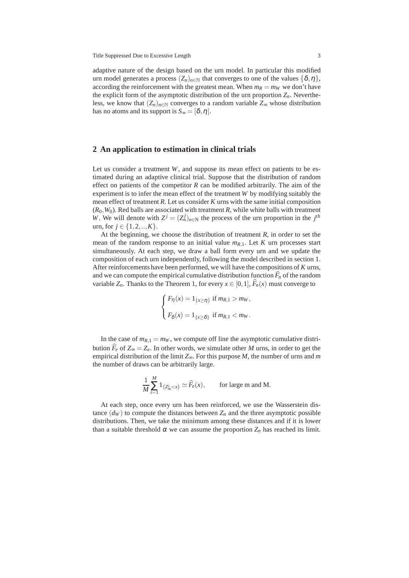adaptive nature of the design based on the urn model. In particular this modified urn model generates a process  $(Z_n)_{n\in\mathbb{N}}$  that converges to one of the values  $\{\delta, \eta\},$ according the reinforcement with the greatest mean. When  $m_R = m_W$  we don't have the explicit form of the asymptotic distribution of the urn proportion  $Z_n$ . Nevertheless, we know that  $(Z_n)_{n\in\mathbb{N}}$  converges to a random variable  $Z_\infty$  whose distribution has no atoms and its support is  $S_{\infty} = [\delta, \eta]$ .

## **2 An application to estimation in clinical trials**

Let us consider a treatment *W*, and suppose its mean effect on patients to be estimated during an adaptive clinical trial. Suppose that the distribution of random effect on patients of the competitor  $R$  can be modified arbitrarily. The aim of the experiment is to infer the mean effect of the treatment *W* by modifying suitably the mean effect of treatment *R*. Let us consider *K* urns with the same initial composition  $(R_0, W_0)$ . Red balls are associated with treatment *R*, while white balls with treatment *W*. We will denote with  $Z^j = (Z_n^j)_{n \in \mathbb{N}}$  the process of the urn proportion in the  $j^{th}$ urn, for *j* ∈ {1,2,..,*K*}.

At the beginning, we choose the distribution of treatment *R*, in order to set the mean of the random response to an initial value  $m_{R,1}$ . Let K urn processes start simultaneously. At each step, we draw a ball form every urn and we update the composition of each urn independently, following the model described in section 1. After reinforcements have been performed, we will have the compositions of *K* urns, and we can compute the empirical cumulative distribution function  $\widehat{F}_n$  of the random variable  $Z_n$ . Thanks to the Theorem 1, for every  $x \in [0,1]$ ,  $\widehat{F}_n(x)$  must converge to

$$
\begin{cases} F_{\eta}(x) = 1_{\{x \ge \eta\}} \text{ if } m_{R,1} > m_W, \\ F_{\delta}(x) = 1_{\{x \ge \delta\}} \text{ if } m_{R,1} < m_W. \end{cases}
$$

In the case of  $m_{R,1} = m_W$ , we compute off line the asymptotic cumulative distribution  $\hat{F}_e$  of  $Z_\infty = Z_e$ . In other words, we simulate other *M* urns, in order to get the empirical distribution of the limit *Z*∞. For this purpose *M*, the number of urns and *m* the number of draws can be arbitrarily large.

$$
\frac{1}{M} \sum_{i=1}^{M} 1_{\{Z_m^i < x\}} \simeq \widehat{F}_e(x), \qquad \text{for large m and M}.
$$

At each step, once every urn has been reinforced, we use the Wasserstein distance  $(d_W)$  to compute the distances between  $Z_n$  and the three asymptotic possible distributions. Then, we take the minimum among these distances and if it is lower than a suitable threshold  $\alpha$  we can assume the proportion  $Z_n$  has reached its limit.